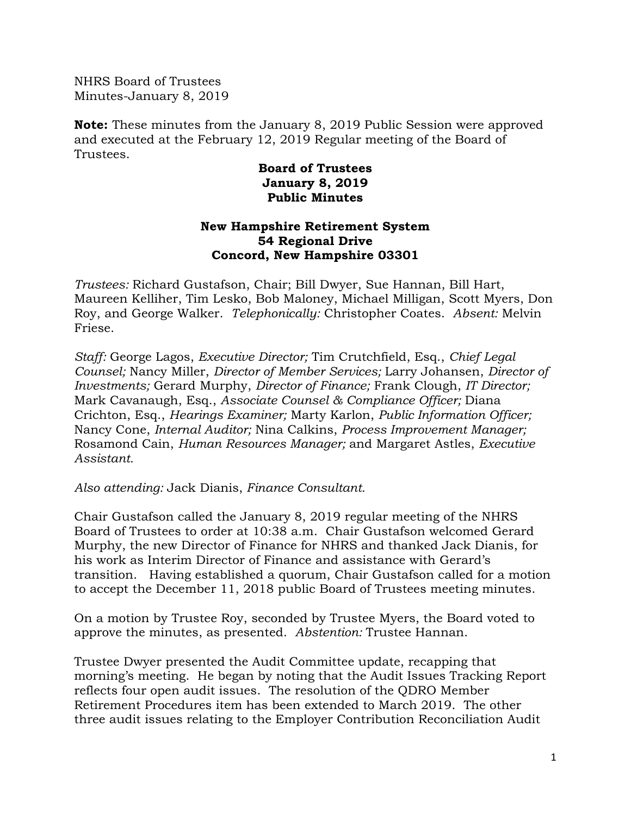NHRS Board of Trustees Minutes-January 8, 2019

**Note:** These minutes from the January 8, 2019 Public Session were approved and executed at the February 12, 2019 Regular meeting of the Board of Trustees.

## **Board of Trustees January 8, 2019 Public Minutes**

## **New Hampshire Retirement System 54 Regional Drive Concord, New Hampshire 03301**

*Trustees:* Richard Gustafson, Chair; Bill Dwyer, Sue Hannan, Bill Hart, Maureen Kelliher, Tim Lesko, Bob Maloney, Michael Milligan, Scott Myers, Don Roy, and George Walker. *Telephonically:* Christopher Coates. *Absent:* Melvin Friese.

*Staff:* George Lagos, *Executive Director;* Tim Crutchfield, Esq., *Chief Legal Counsel;* Nancy Miller, *Director of Member Services;* Larry Johansen, *Director of Investments;* Gerard Murphy, *Director of Finance;* Frank Clough, *IT Director;* Mark Cavanaugh, Esq., *Associate Counsel & Compliance Officer;* Diana Crichton, Esq., *Hearings Examiner;* Marty Karlon, *Public Information Officer;* Nancy Cone, *Internal Auditor;* Nina Calkins, *Process Improvement Manager;*  Rosamond Cain, *Human Resources Manager;* and Margaret Astles, *Executive Assistant.* 

*Also attending:* Jack Dianis, *Finance Consultant.* 

Chair Gustafson called the January 8, 2019 regular meeting of the NHRS Board of Trustees to order at 10:38 a.m. Chair Gustafson welcomed Gerard Murphy, the new Director of Finance for NHRS and thanked Jack Dianis, for his work as Interim Director of Finance and assistance with Gerard's transition. Having established a quorum, Chair Gustafson called for a motion to accept the December 11, 2018 public Board of Trustees meeting minutes.

On a motion by Trustee Roy, seconded by Trustee Myers, the Board voted to approve the minutes, as presented. *Abstention:* Trustee Hannan.

Trustee Dwyer presented the Audit Committee update, recapping that morning's meeting. He began by noting that the Audit Issues Tracking Report reflects four open audit issues. The resolution of the QDRO Member Retirement Procedures item has been extended to March 2019. The other three audit issues relating to the Employer Contribution Reconciliation Audit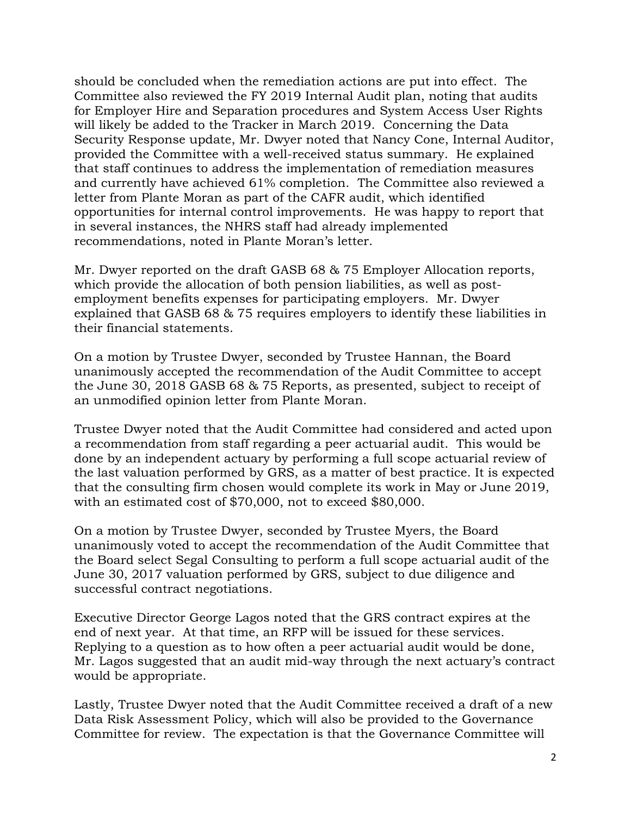should be concluded when the remediation actions are put into effect. The Committee also reviewed the FY 2019 Internal Audit plan, noting that audits for Employer Hire and Separation procedures and System Access User Rights will likely be added to the Tracker in March 2019. Concerning the Data Security Response update, Mr. Dwyer noted that Nancy Cone, Internal Auditor, provided the Committee with a well-received status summary. He explained that staff continues to address the implementation of remediation measures and currently have achieved 61% completion. The Committee also reviewed a letter from Plante Moran as part of the CAFR audit, which identified opportunities for internal control improvements. He was happy to report that in several instances, the NHRS staff had already implemented recommendations, noted in Plante Moran's letter.

Mr. Dwyer reported on the draft GASB 68 & 75 Employer Allocation reports, which provide the allocation of both pension liabilities, as well as postemployment benefits expenses for participating employers. Mr. Dwyer explained that GASB 68 & 75 requires employers to identify these liabilities in their financial statements.

On a motion by Trustee Dwyer, seconded by Trustee Hannan, the Board unanimously accepted the recommendation of the Audit Committee to accept the June 30, 2018 GASB 68 & 75 Reports, as presented, subject to receipt of an unmodified opinion letter from Plante Moran.

Trustee Dwyer noted that the Audit Committee had considered and acted upon a recommendation from staff regarding a peer actuarial audit. This would be done by an independent actuary by performing a full scope actuarial review of the last valuation performed by GRS, as a matter of best practice. It is expected that the consulting firm chosen would complete its work in May or June 2019, with an estimated cost of \$70,000, not to exceed \$80,000.

On a motion by Trustee Dwyer, seconded by Trustee Myers, the Board unanimously voted to accept the recommendation of the Audit Committee that the Board select Segal Consulting to perform a full scope actuarial audit of the June 30, 2017 valuation performed by GRS, subject to due diligence and successful contract negotiations.

Executive Director George Lagos noted that the GRS contract expires at the end of next year. At that time, an RFP will be issued for these services. Replying to a question as to how often a peer actuarial audit would be done, Mr. Lagos suggested that an audit mid-way through the next actuary's contract would be appropriate.

Lastly, Trustee Dwyer noted that the Audit Committee received a draft of a new Data Risk Assessment Policy, which will also be provided to the Governance Committee for review. The expectation is that the Governance Committee will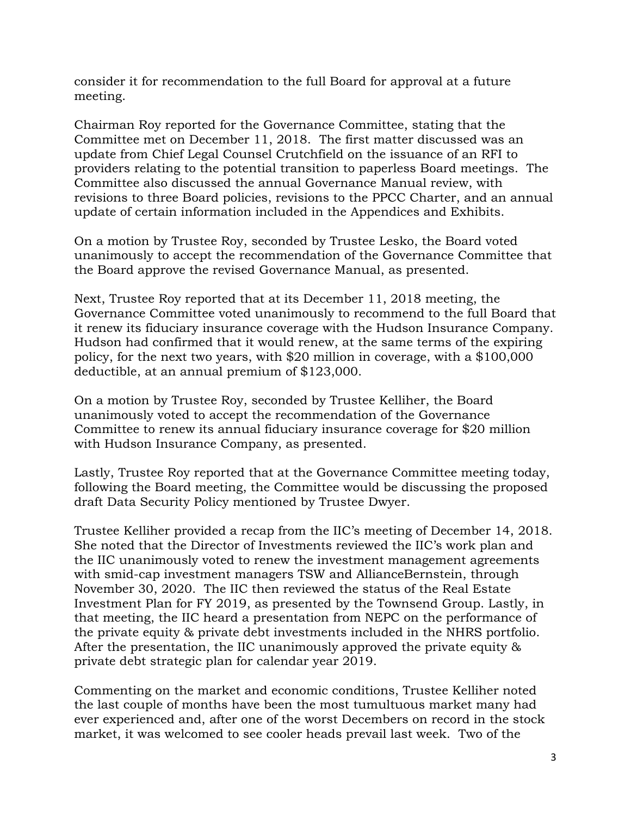consider it for recommendation to the full Board for approval at a future meeting.

Chairman Roy reported for the Governance Committee, stating that the Committee met on December 11, 2018. The first matter discussed was an update from Chief Legal Counsel Crutchfield on the issuance of an RFI to providers relating to the potential transition to paperless Board meetings. The Committee also discussed the annual Governance Manual review, with revisions to three Board policies, revisions to the PPCC Charter, and an annual update of certain information included in the Appendices and Exhibits.

On a motion by Trustee Roy, seconded by Trustee Lesko, the Board voted unanimously to accept the recommendation of the Governance Committee that the Board approve the revised Governance Manual, as presented.

Next, Trustee Roy reported that at its December 11, 2018 meeting, the Governance Committee voted unanimously to recommend to the full Board that it renew its fiduciary insurance coverage with the Hudson Insurance Company. Hudson had confirmed that it would renew, at the same terms of the expiring policy, for the next two years, with \$20 million in coverage, with a \$100,000 deductible, at an annual premium of \$123,000.

On a motion by Trustee Roy, seconded by Trustee Kelliher, the Board unanimously voted to accept the recommendation of the Governance Committee to renew its annual fiduciary insurance coverage for \$20 million with Hudson Insurance Company, as presented.

Lastly, Trustee Roy reported that at the Governance Committee meeting today, following the Board meeting, the Committee would be discussing the proposed draft Data Security Policy mentioned by Trustee Dwyer.

Trustee Kelliher provided a recap from the IIC's meeting of December 14, 2018. She noted that the Director of Investments reviewed the IIC's work plan and the IIC unanimously voted to renew the investment management agreements with smid-cap investment managers TSW and AllianceBernstein, through November 30, 2020. The IIC then reviewed the status of the Real Estate Investment Plan for FY 2019, as presented by the Townsend Group. Lastly, in that meeting, the IIC heard a presentation from NEPC on the performance of the private equity & private debt investments included in the NHRS portfolio. After the presentation, the IIC unanimously approved the private equity & private debt strategic plan for calendar year 2019.

Commenting on the market and economic conditions, Trustee Kelliher noted the last couple of months have been the most tumultuous market many had ever experienced and, after one of the worst Decembers on record in the stock market, it was welcomed to see cooler heads prevail last week. Two of the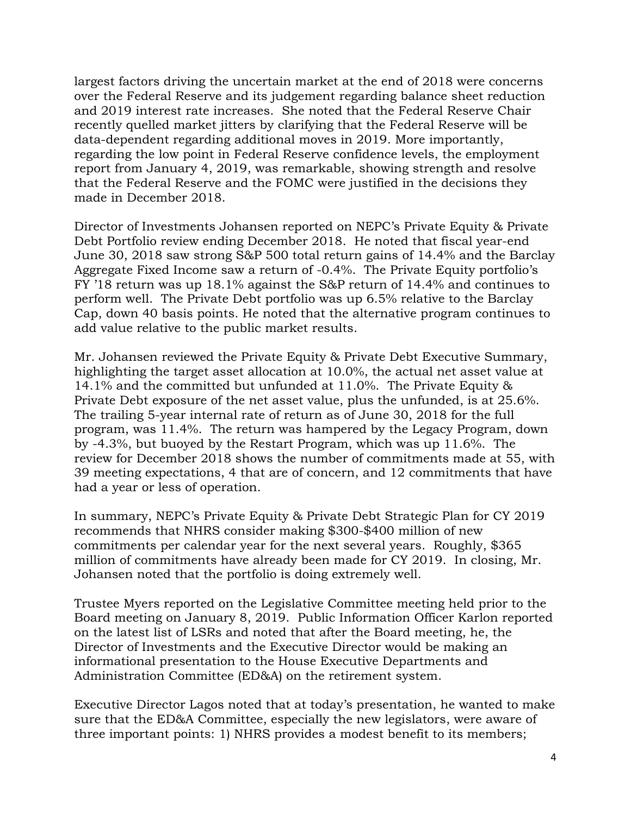largest factors driving the uncertain market at the end of 2018 were concerns over the Federal Reserve and its judgement regarding balance sheet reduction and 2019 interest rate increases. She noted that the Federal Reserve Chair recently quelled market jitters by clarifying that the Federal Reserve will be data-dependent regarding additional moves in 2019. More importantly, regarding the low point in Federal Reserve confidence levels, the employment report from January 4, 2019, was remarkable, showing strength and resolve that the Federal Reserve and the FOMC were justified in the decisions they made in December 2018.

Director of Investments Johansen reported on NEPC's Private Equity & Private Debt Portfolio review ending December 2018. He noted that fiscal year-end June 30, 2018 saw strong S&P 500 total return gains of 14.4% and the Barclay Aggregate Fixed Income saw a return of -0.4%. The Private Equity portfolio's FY '18 return was up 18.1% against the S&P return of 14.4% and continues to perform well. The Private Debt portfolio was up 6.5% relative to the Barclay Cap, down 40 basis points. He noted that the alternative program continues to add value relative to the public market results.

Mr. Johansen reviewed the Private Equity & Private Debt Executive Summary, highlighting the target asset allocation at 10.0%, the actual net asset value at 14.1% and the committed but unfunded at 11.0%. The Private Equity & Private Debt exposure of the net asset value, plus the unfunded, is at 25.6%. The trailing 5-year internal rate of return as of June 30, 2018 for the full program, was 11.4%. The return was hampered by the Legacy Program, down by -4.3%, but buoyed by the Restart Program, which was up 11.6%. The review for December 2018 shows the number of commitments made at 55, with 39 meeting expectations, 4 that are of concern, and 12 commitments that have had a year or less of operation.

In summary, NEPC's Private Equity & Private Debt Strategic Plan for CY 2019 recommends that NHRS consider making \$300-\$400 million of new commitments per calendar year for the next several years. Roughly, \$365 million of commitments have already been made for CY 2019. In closing, Mr. Johansen noted that the portfolio is doing extremely well.

Trustee Myers reported on the Legislative Committee meeting held prior to the Board meeting on January 8, 2019. Public Information Officer Karlon reported on the latest list of LSRs and noted that after the Board meeting, he, the Director of Investments and the Executive Director would be making an informational presentation to the House Executive Departments and Administration Committee (ED&A) on the retirement system.

Executive Director Lagos noted that at today's presentation, he wanted to make sure that the ED&A Committee, especially the new legislators, were aware of three important points: 1) NHRS provides a modest benefit to its members;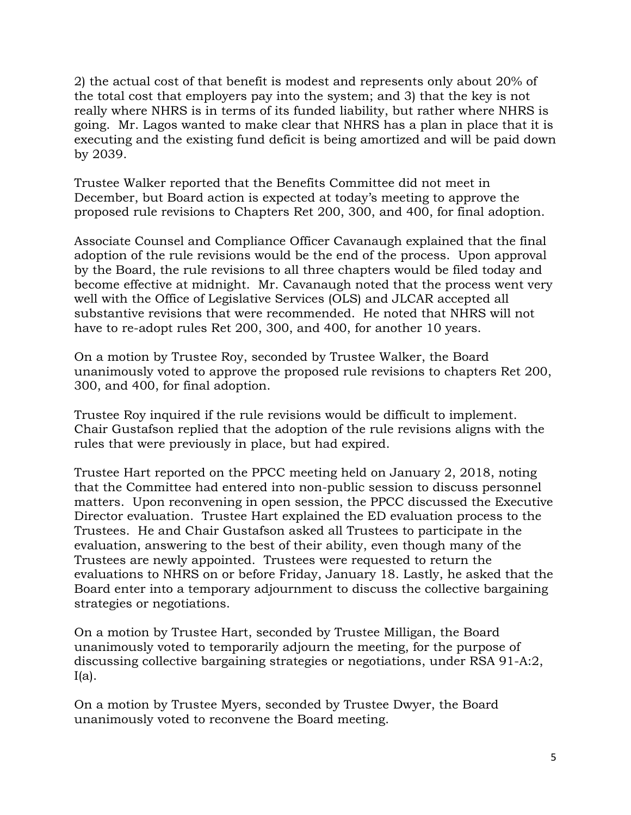2) the actual cost of that benefit is modest and represents only about 20% of the total cost that employers pay into the system; and 3) that the key is not really where NHRS is in terms of its funded liability, but rather where NHRS is going. Mr. Lagos wanted to make clear that NHRS has a plan in place that it is executing and the existing fund deficit is being amortized and will be paid down by 2039.

Trustee Walker reported that the Benefits Committee did not meet in December, but Board action is expected at today's meeting to approve the proposed rule revisions to Chapters Ret 200, 300, and 400, for final adoption.

Associate Counsel and Compliance Officer Cavanaugh explained that the final adoption of the rule revisions would be the end of the process. Upon approval by the Board, the rule revisions to all three chapters would be filed today and become effective at midnight. Mr. Cavanaugh noted that the process went very well with the Office of Legislative Services (OLS) and JLCAR accepted all substantive revisions that were recommended. He noted that NHRS will not have to re-adopt rules Ret 200, 300, and 400, for another 10 years.

On a motion by Trustee Roy, seconded by Trustee Walker, the Board unanimously voted to approve the proposed rule revisions to chapters Ret 200, 300, and 400, for final adoption.

Trustee Roy inquired if the rule revisions would be difficult to implement. Chair Gustafson replied that the adoption of the rule revisions aligns with the rules that were previously in place, but had expired.

Trustee Hart reported on the PPCC meeting held on January 2, 2018, noting that the Committee had entered into non-public session to discuss personnel matters. Upon reconvening in open session, the PPCC discussed the Executive Director evaluation. Trustee Hart explained the ED evaluation process to the Trustees. He and Chair Gustafson asked all Trustees to participate in the evaluation, answering to the best of their ability, even though many of the Trustees are newly appointed. Trustees were requested to return the evaluations to NHRS on or before Friday, January 18. Lastly, he asked that the Board enter into a temporary adjournment to discuss the collective bargaining strategies or negotiations.

On a motion by Trustee Hart, seconded by Trustee Milligan, the Board unanimously voted to temporarily adjourn the meeting, for the purpose of discussing collective bargaining strategies or negotiations, under RSA 91-A:2,  $I(a)$ .

On a motion by Trustee Myers, seconded by Trustee Dwyer, the Board unanimously voted to reconvene the Board meeting.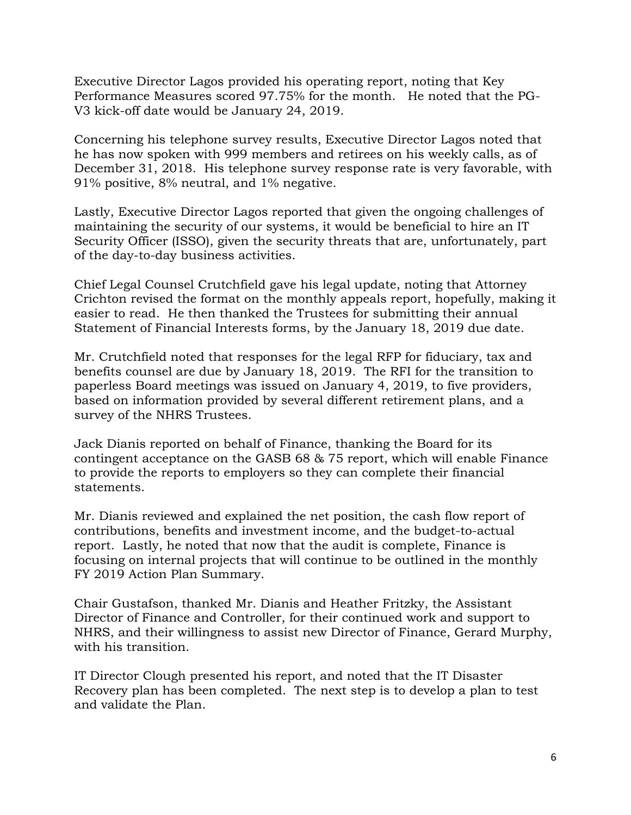Executive Director Lagos provided his operating report, noting that Key Performance Measures scored 97.75% for the month. He noted that the PG-V3 kick-off date would be January 24, 2019.

Concerning his telephone survey results, Executive Director Lagos noted that he has now spoken with 999 members and retirees on his weekly calls, as of December 31, 2018. His telephone survey response rate is very favorable, with 91% positive, 8% neutral, and 1% negative.

Lastly, Executive Director Lagos reported that given the ongoing challenges of maintaining the security of our systems, it would be beneficial to hire an IT Security Officer (ISSO), given the security threats that are, unfortunately, part of the day-to-day business activities.

Chief Legal Counsel Crutchfield gave his legal update, noting that Attorney Crichton revised the format on the monthly appeals report, hopefully, making it easier to read. He then thanked the Trustees for submitting their annual Statement of Financial Interests forms, by the January 18, 2019 due date.

Mr. Crutchfield noted that responses for the legal RFP for fiduciary, tax and benefits counsel are due by January 18, 2019. The RFI for the transition to paperless Board meetings was issued on January 4, 2019, to five providers, based on information provided by several different retirement plans, and a survey of the NHRS Trustees.

Jack Dianis reported on behalf of Finance, thanking the Board for its contingent acceptance on the GASB 68 & 75 report, which will enable Finance to provide the reports to employers so they can complete their financial statements.

Mr. Dianis reviewed and explained the net position, the cash flow report of contributions, benefits and investment income, and the budget-to-actual report. Lastly, he noted that now that the audit is complete, Finance is focusing on internal projects that will continue to be outlined in the monthly FY 2019 Action Plan Summary.

Chair Gustafson, thanked Mr. Dianis and Heather Fritzky, the Assistant Director of Finance and Controller, for their continued work and support to NHRS, and their willingness to assist new Director of Finance, Gerard Murphy, with his transition.

IT Director Clough presented his report, and noted that the IT Disaster Recovery plan has been completed. The next step is to develop a plan to test and validate the Plan.